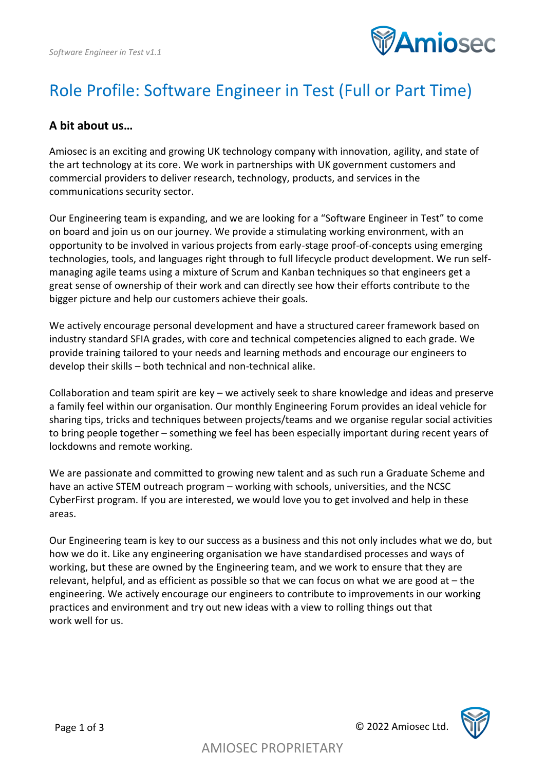

# Role Profile: Software Engineer in Test (Full or Part Time)

#### **A bit about us…**

Amiosec is an exciting and growing UK technology company with innovation, agility, and state of the art technology at its core. We work in partnerships with UK government customers and commercial providers to deliver research, technology, products, and services in the communications security sector.

Our Engineering team is expanding, and we are looking for a "Software Engineer in Test" to come on board and join us on our journey. We provide a stimulating working environment, with an opportunity to be involved in various projects from early-stage proof-of-concepts using emerging technologies, tools, and languages right through to full lifecycle product development. We run selfmanaging agile teams using a mixture of Scrum and Kanban techniques so that engineers get a great sense of ownership of their work and can directly see how their efforts contribute to the bigger picture and help our customers achieve their goals.

We actively encourage personal development and have a structured career framework based on industry standard SFIA grades, with core and technical competencies aligned to each grade. We provide training tailored to your needs and learning methods and encourage our engineers to develop their skills – both technical and non-technical alike.

Collaboration and team spirit are key – we actively seek to share knowledge and ideas and preserve a family feel within our organisation. Our monthly Engineering Forum provides an ideal vehicle for sharing tips, tricks and techniques between projects/teams and we organise regular social activities to bring people together – something we feel has been especially important during recent years of lockdowns and remote working.

We are passionate and committed to growing new talent and as such run a Graduate Scheme and have an active STEM outreach program – working with schools, universities, and the NCSC CyberFirst program. If you are interested, we would love you to get involved and help in these areas.

Our Engineering team is key to our success as a business and this not only includes what we do, but how we do it. Like any engineering organisation we have standardised processes and ways of working, but these are owned by the Engineering team, and we work to ensure that they are relevant, helpful, and as efficient as possible so that we can focus on what we are good at – the engineering. We actively encourage our engineers to contribute to improvements in our working practices and environment and try out new ideas with a view to rolling things out that work well for us.

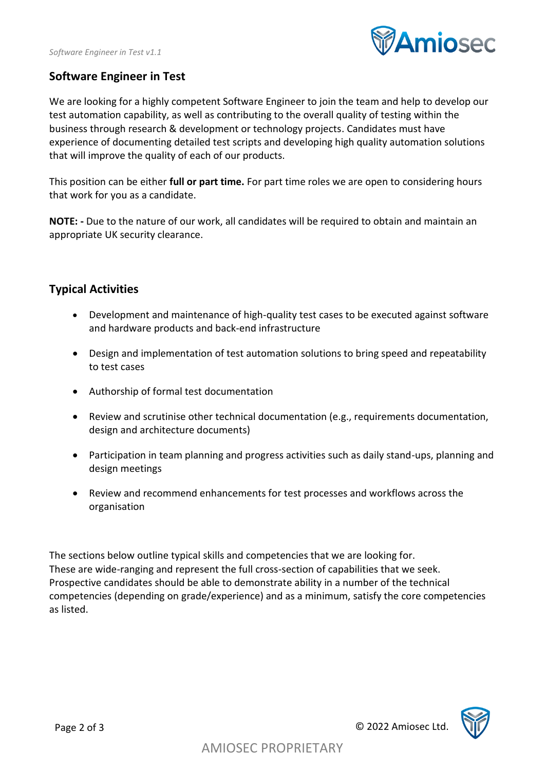

### **Software Engineer in Test**

We are looking for a highly competent Software Engineer to join the team and help to develop our test automation capability, as well as contributing to the overall quality of testing within the business through research & development or technology projects. Candidates must have experience of documenting detailed test scripts and developing high quality automation solutions that will improve the quality of each of our products.

This position can be either **full or part time.** For part time roles we are open to considering hours that work for you as a candidate.

**NOTE: -** Due to the nature of our work, all candidates will be required to obtain and maintain an appropriate UK security clearance.

### **Typical Activities**

- Development and maintenance of high-quality test cases to be executed against software and hardware products and back-end infrastructure
- Design and implementation of test automation solutions to bring speed and repeatability to test cases
- Authorship of formal test documentation
- Review and scrutinise other technical documentation (e.g., requirements documentation, design and architecture documents)
- Participation in team planning and progress activities such as daily stand-ups, planning and design meetings
- Review and recommend enhancements for test processes and workflows across the organisation

The sections below outline typical skills and competencies that we are looking for. These are wide-ranging and represent the full cross-section of capabilities that we seek. Prospective candidates should be able to demonstrate ability in a number of the technical competencies (depending on grade/experience) and as a minimum, satisfy the core competencies as listed.